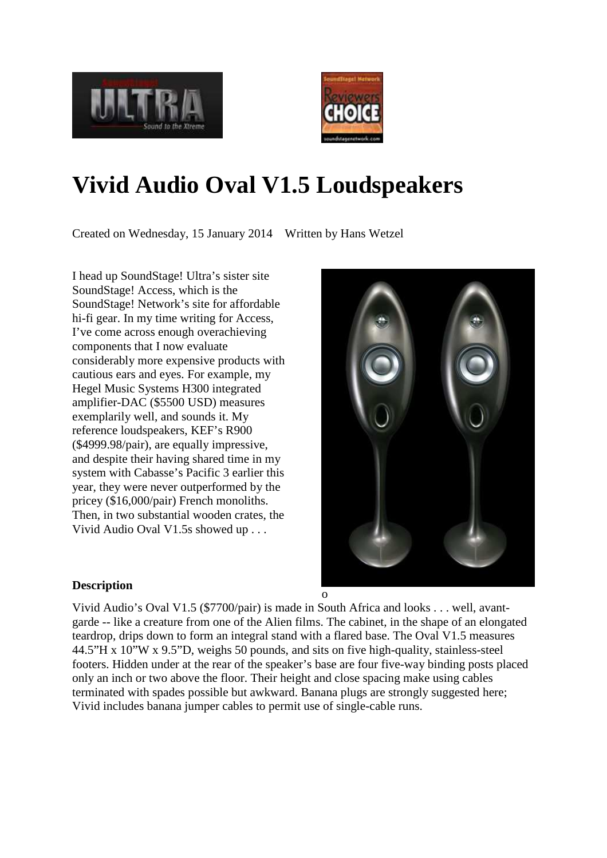



# **Vivid Audio Oval V1.5 Loudspeakers**

Created on Wednesday, 15 January 2014 Written by Hans Wetzel

I head up SoundStage! Ultra's sister site SoundStage! Access, which is the SoundStage! Network's site for affordable hi-fi gear. In my time writing for Access, I've come across enough overachieving components that I now evaluate considerably more expensive products with cautious ears and eyes. For example, my Hegel Music Systems H300 integrated amplifier-DAC (\$5500 USD) measures exemplarily well, and sounds it. My reference loudspeakers, KEF's R900 (\$4999.98/pair), are equally impressive, and despite their having shared time in my system with Cabasse's Pacific 3 earlier this year, they were never outperformed by the pricey (\$16,000/pair) French monoliths. Then, in two substantial wooden crates, the Vivid Audio Oval V1.5s showed up . . .



## **Description**

Vivid Audio's Oval V1.5 (\$7700/pair) is made in South Africa and looks . . . well, avantgarde -- like a creature from one of the Alien films. The cabinet, in the shape of an elongated teardrop, drips down to form an integral stand with a flared base. The Oval V1.5 measures 44.5"H x 10"W x 9.5"D, weighs 50 pounds, and sits on five high-quality, stainless-steel footers. Hidden under at the rear of the speaker's base are four five-way binding posts placed only an inch or two above the floor. Their height and close spacing make using cables terminated with spades possible but awkward. Banana plugs are strongly suggested here; Vivid includes banana jumper cables to permit use of single-cable runs.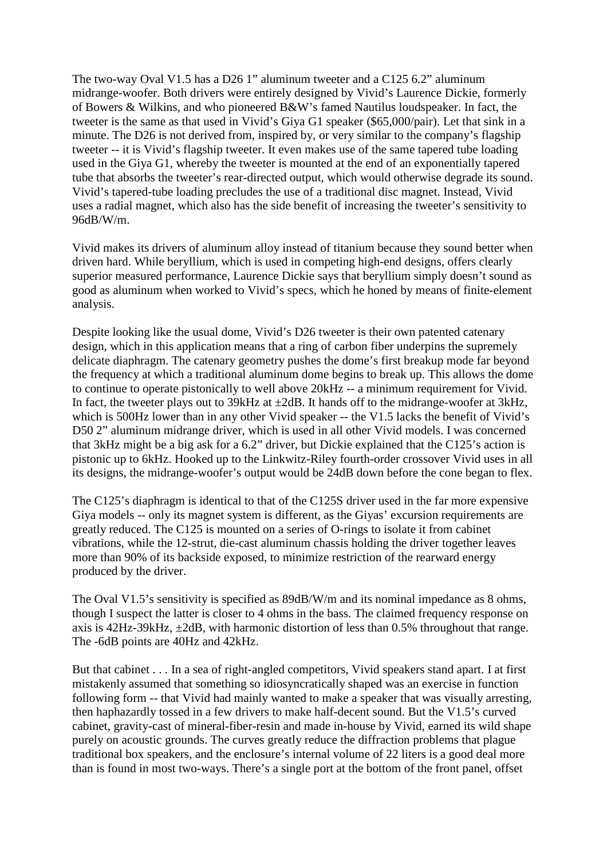The two-way Oval V1.5 has a D26 1" aluminum tweeter and a C125 6.2" aluminum midrange-woofer. Both drivers were entirely designed by Vivid's Laurence Dickie, formerly of Bowers & Wilkins, and who pioneered B&W's famed Nautilus loudspeaker. In fact, the tweeter is the same as that used in Vivid's Giya G1 speaker (\$65,000/pair). Let that sink in a minute. The D26 is not derived from, inspired by, or very similar to the company's flagship tweeter -- it is Vivid's flagship tweeter. It even makes use of the same tapered tube loading used in the Giya G1, whereby the tweeter is mounted at the end of an exponentially tapered tube that absorbs the tweeter's rear-directed output, which would otherwise degrade its sound. Vivid's tapered-tube loading precludes the use of a traditional disc magnet. Instead, Vivid uses a radial magnet, which also has the side benefit of increasing the tweeter's sensitivity to 96dB/W/m.

Vivid makes its drivers of aluminum alloy instead of titanium because they sound better when driven hard. While beryllium, which is used in competing high-end designs, offers clearly superior measured performance, Laurence Dickie says that beryllium simply doesn't sound as good as aluminum when worked to Vivid's specs, which he honed by means of finite-element analysis.

Despite looking like the usual dome, Vivid's D26 tweeter is their own patented catenary design, which in this application means that a ring of carbon fiber underpins the supremely delicate diaphragm. The catenary geometry pushes the dome's first breakup mode far beyond the frequency at which a traditional aluminum dome begins to break up. This allows the dome to continue to operate pistonically to well above 20kHz -- a minimum requirement for Vivid. In fact, the tweeter plays out to  $39kHz$  at  $\pm 2dB$ . It hands off to the midrange-woofer at  $3kHz$ , which is 500Hz lower than in any other Vivid speaker -- the V1.5 lacks the benefit of Vivid's D50 2" aluminum midrange driver, which is used in all other Vivid models. I was concerned that 3kHz might be a big ask for a 6.2" driver, but Dickie explained that the C125's action is pistonic up to 6kHz. Hooked up to the Linkwitz-Riley fourth-order crossover Vivid uses in all its designs, the midrange-woofer's output would be 24dB down before the cone began to flex.

The C125's diaphragm is identical to that of the C125S driver used in the far more expensive Giya models -- only its magnet system is different, as the Giyas' excursion requirements are greatly reduced. The C125 is mounted on a series of O-rings to isolate it from cabinet vibrations, while the 12-strut, die-cast aluminum chassis holding the driver together leaves more than 90% of its backside exposed, to minimize restriction of the rearward energy produced by the driver.

The Oval V1.5's sensitivity is specified as 89dB/W/m and its nominal impedance as 8 ohms, though I suspect the latter is closer to 4 ohms in the bass. The claimed frequency response on axis is 42Hz-39kHz, ±2dB, with harmonic distortion of less than 0.5% throughout that range. The -6dB points are 40Hz and 42kHz.

But that cabinet . . . In a sea of right-angled competitors, Vivid speakers stand apart. I at first mistakenly assumed that something so idiosyncratically shaped was an exercise in function following form -- that Vivid had mainly wanted to make a speaker that was visually arresting, then haphazardly tossed in a few drivers to make half-decent sound. But the V1.5's curved cabinet, gravity-cast of mineral-fiber-resin and made in-house by Vivid, earned its wild shape purely on acoustic grounds. The curves greatly reduce the diffraction problems that plague traditional box speakers, and the enclosure's internal volume of 22 liters is a good deal more than is found in most two-ways. There's a single port at the bottom of the front panel, offset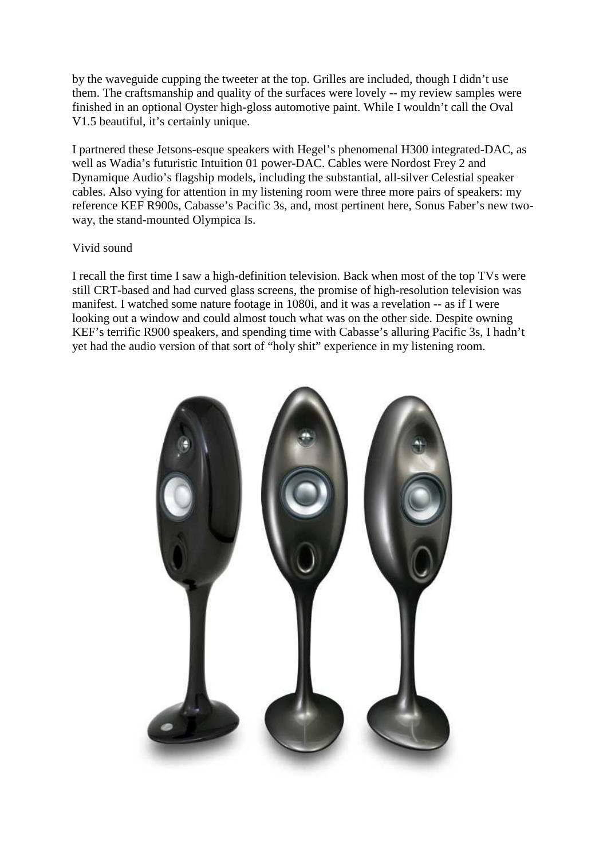by the waveguide cupping the tweeter at the top. Grilles are included, though I didn't use them. The craftsmanship and quality of the surfaces were lovely -- my review samples were finished in an optional Oyster high-gloss automotive paint. While I wouldn't call the Oval V1.5 beautiful, it's certainly unique.

I partnered these Jetsons-esque speakers with Hegel's phenomenal H300 integrated-DAC, as well as Wadia's futuristic Intuition 01 power-DAC. Cables were Nordost Frey 2 and Dynamique Audio's flagship models, including the substantial, all-silver Celestial speaker cables. Also vying for attention in my listening room were three more pairs of speakers: my reference KEF R900s, Cabasse's Pacific 3s, and, most pertinent here, Sonus Faber's new twoway, the stand-mounted Olympica Is.

## Vivid sound

I recall the first time I saw a high-definition television. Back when most of the top TVs were still CRT-based and had curved glass screens, the promise of high-resolution television was manifest. I watched some nature footage in 1080i, and it was a revelation -- as if I were looking out a window and could almost touch what was on the other side. Despite owning KEF's terrific R900 speakers, and spending time with Cabasse's alluring Pacific 3s, I hadn't yet had the audio version of that sort of "holy shit" experience in my listening room.

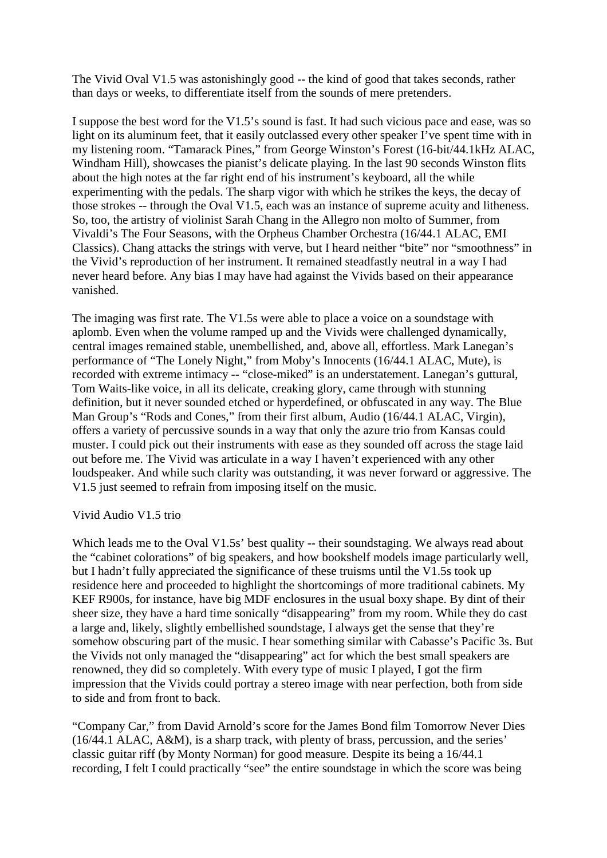The Vivid Oval V1.5 was astonishingly good -- the kind of good that takes seconds, rather than days or weeks, to differentiate itself from the sounds of mere pretenders.

I suppose the best word for the V1.5's sound is fast. It had such vicious pace and ease, was so light on its aluminum feet, that it easily outclassed every other speaker I've spent time with in my listening room. "Tamarack Pines," from George Winston's Forest (16-bit/44.1kHz ALAC, Windham Hill), showcases the pianist's delicate playing. In the last 90 seconds Winston flits about the high notes at the far right end of his instrument's keyboard, all the while experimenting with the pedals. The sharp vigor with which he strikes the keys, the decay of those strokes -- through the Oval V1.5, each was an instance of supreme acuity and litheness. So, too, the artistry of violinist Sarah Chang in the Allegro non molto of Summer, from Vivaldi's The Four Seasons, with the Orpheus Chamber Orchestra (16/44.1 ALAC, EMI Classics). Chang attacks the strings with verve, but I heard neither "bite" nor "smoothness" in the Vivid's reproduction of her instrument. It remained steadfastly neutral in a way I had never heard before. Any bias I may have had against the Vivids based on their appearance vanished.

The imaging was first rate. The V1.5s were able to place a voice on a soundstage with aplomb. Even when the volume ramped up and the Vivids were challenged dynamically, central images remained stable, unembellished, and, above all, effortless. Mark Lanegan's performance of "The Lonely Night," from Moby's Innocents (16/44.1 ALAC, Mute), is recorded with extreme intimacy -- "close-miked" is an understatement. Lanegan's guttural, Tom Waits-like voice, in all its delicate, creaking glory, came through with stunning definition, but it never sounded etched or hyperdefined, or obfuscated in any way. The Blue Man Group's "Rods and Cones," from their first album, Audio (16/44.1 ALAC, Virgin), offers a variety of percussive sounds in a way that only the azure trio from Kansas could muster. I could pick out their instruments with ease as they sounded off across the stage laid out before me. The Vivid was articulate in a way I haven't experienced with any other loudspeaker. And while such clarity was outstanding, it was never forward or aggressive. The V1.5 just seemed to refrain from imposing itself on the music.

#### Vivid Audio V1.5 trio

Which leads me to the Oval V1.5s' best quality -- their soundstaging. We always read about the "cabinet colorations" of big speakers, and how bookshelf models image particularly well, but I hadn't fully appreciated the significance of these truisms until the V1.5s took up residence here and proceeded to highlight the shortcomings of more traditional cabinets. My KEF R900s, for instance, have big MDF enclosures in the usual boxy shape. By dint of their sheer size, they have a hard time sonically "disappearing" from my room. While they do cast a large and, likely, slightly embellished soundstage, I always get the sense that they're somehow obscuring part of the music. I hear something similar with Cabasse's Pacific 3s. But the Vivids not only managed the "disappearing" act for which the best small speakers are renowned, they did so completely. With every type of music I played, I got the firm impression that the Vivids could portray a stereo image with near perfection, both from side to side and from front to back.

"Company Car," from David Arnold's score for the James Bond film Tomorrow Never Dies (16/44.1 ALAC, A&M), is a sharp track, with plenty of brass, percussion, and the series' classic guitar riff (by Monty Norman) for good measure. Despite its being a 16/44.1 recording, I felt I could practically "see" the entire soundstage in which the score was being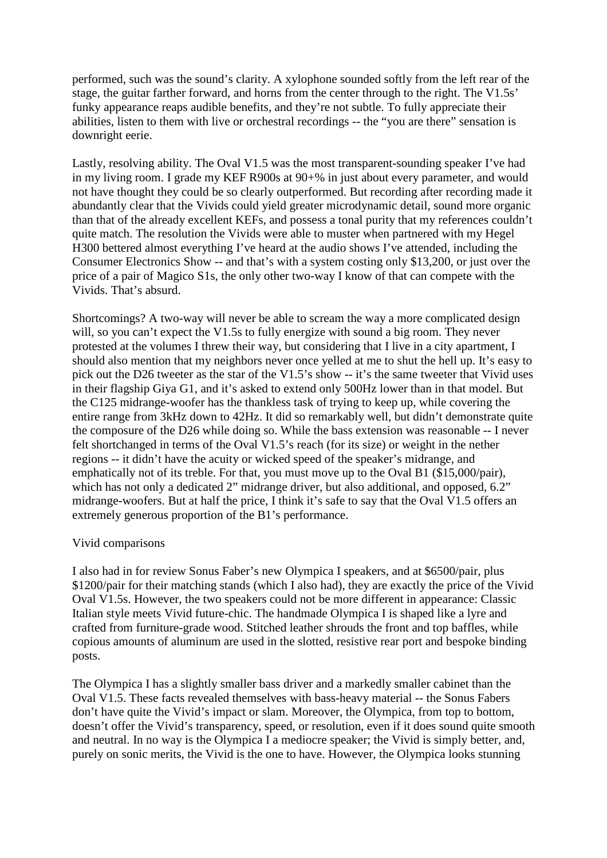performed, such was the sound's clarity. A xylophone sounded softly from the left rear of the stage, the guitar farther forward, and horns from the center through to the right. The V1.5s' funky appearance reaps audible benefits, and they're not subtle. To fully appreciate their abilities, listen to them with live or orchestral recordings -- the "you are there" sensation is downright eerie.

Lastly, resolving ability. The Oval V1.5 was the most transparent-sounding speaker I've had in my living room. I grade my KEF R900s at 90+% in just about every parameter, and would not have thought they could be so clearly outperformed. But recording after recording made it abundantly clear that the Vivids could yield greater microdynamic detail, sound more organic than that of the already excellent KEFs, and possess a tonal purity that my references couldn't quite match. The resolution the Vivids were able to muster when partnered with my Hegel H300 bettered almost everything I've heard at the audio shows I've attended, including the Consumer Electronics Show -- and that's with a system costing only \$13,200, or just over the price of a pair of Magico S1s, the only other two-way I know of that can compete with the Vivids. That's absurd.

Shortcomings? A two-way will never be able to scream the way a more complicated design will, so you can't expect the V1.5s to fully energize with sound a big room. They never protested at the volumes I threw their way, but considering that I live in a city apartment, I should also mention that my neighbors never once yelled at me to shut the hell up. It's easy to pick out the D26 tweeter as the star of the V1.5's show -- it's the same tweeter that Vivid uses in their flagship Giya G1, and it's asked to extend only 500Hz lower than in that model. But the C125 midrange-woofer has the thankless task of trying to keep up, while covering the entire range from 3kHz down to 42Hz. It did so remarkably well, but didn't demonstrate quite the composure of the D26 while doing so. While the bass extension was reasonable -- I never felt shortchanged in terms of the Oval V1.5's reach (for its size) or weight in the nether regions -- it didn't have the acuity or wicked speed of the speaker's midrange, and emphatically not of its treble. For that, you must move up to the Oval B1 (\$15,000/pair), which has not only a dedicated 2" midrange driver, but also additional, and opposed, 6.2" midrange-woofers. But at half the price, I think it's safe to say that the Oval V1.5 offers an extremely generous proportion of the B1's performance.

### Vivid comparisons

I also had in for review Sonus Faber's new Olympica I speakers, and at \$6500/pair, plus \$1200/pair for their matching stands (which I also had), they are exactly the price of the Vivid Oval V1.5s. However, the two speakers could not be more different in appearance: Classic Italian style meets Vivid future-chic. The handmade Olympica I is shaped like a lyre and crafted from furniture-grade wood. Stitched leather shrouds the front and top baffles, while copious amounts of aluminum are used in the slotted, resistive rear port and bespoke binding posts.

The Olympica I has a slightly smaller bass driver and a markedly smaller cabinet than the Oval V1.5. These facts revealed themselves with bass-heavy material -- the Sonus Fabers don't have quite the Vivid's impact or slam. Moreover, the Olympica, from top to bottom, doesn't offer the Vivid's transparency, speed, or resolution, even if it does sound quite smooth and neutral. In no way is the Olympica I a mediocre speaker; the Vivid is simply better, and, purely on sonic merits, the Vivid is the one to have. However, the Olympica looks stunning